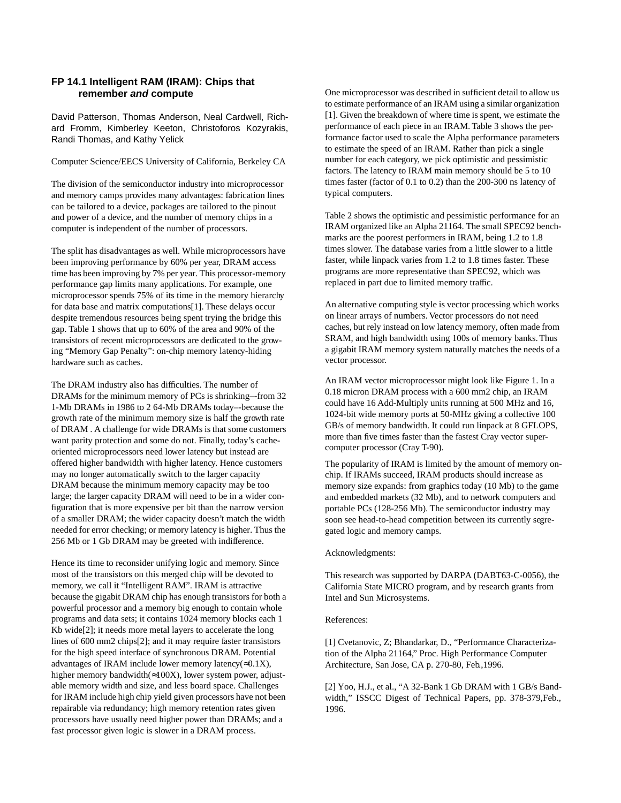## **FP 14.1 Intelligent RAM (IRAM): Chips that remember and compute**

David Patterson, Thomas Anderson, Neal Cardwell, Richard Fromm, Kimberley Keeton, Christoforos Kozyrakis, Randi Thomas, and Kathy Yelick

## Computer Science/EECS University of California, Berkeley CA

The division of the semiconductor industry into microprocessor and memory camps provides many advantages: fabrication lines can be tailored to a device, packages are tailored to the pinout and power of a device, and the number of memory chips in a computer is independent of the number of processors.

The split has disadvantages as well. While microprocessors have been improving performance by 60% per year, DRAM access time has been improving by 7% per year. This processor-memory performance gap limits many applications. For example, one microprocessor spends 75% of its time in the memory hierarchy for data base and matrix computations[1]. These delays occur despite tremendous resources being spent trying the bridge this gap. Table 1 shows that up to 60% of the area and 90% of the transistors of recent microprocessors are dedicated to the growing "Memory Gap Penalty": on-chip memory latency-hiding hardware such as caches.

The DRAM industry also has difficulties. The number of DRAMs for the minimum memory of PCs is shrinking–-from 32 1-Mb DRAMs in 1986 to 2 64-Mb DRAMs today–-because the growth rate of the minimum memory size is half the growth rate of DRAM . A challenge for wide DRAMs is that some customers want parity protection and some do not. Finally, today's cacheoriented microprocessors need lower latency but instead are offered higher bandwidth with higher latency. Hence customers may no longer automatically switch to the larger capacity DRAM because the minimum memory capacity may be too large; the larger capacity DRAM will need to be in a wider configuration that is more expensive per bit than the narrow version of a smaller DRAM; the wider capacity doesn't match the width needed for error checking; or memory latency is higher. Thus the 256 Mb or 1 Gb DRAM may be greeted with indifference.

Hence its time to reconsider unifying logic and memory. Since most of the transistors on this merged chip will be devoted to memory, we call it "Intelligent RAM". IRAM is attractive because the gigabit DRAM chip has enough transistors for both a powerful processor and a memory big enough to contain whole programs and data sets; it contains 1024 memory blocks each 1 Kb wide[2]; it needs more metal layers to accelerate the long lines of 600 mm2 chips[2]; and it may require faster transistors for the high speed interface of synchronous DRAM. Potential advantages of IRAM include lower memory latency( $\approx 0.1X$ ), higher memory bandwidth(≈100X), lower system power, adjustable memory width and size, and less board space. Challenges for IRAM include high chip yield given processors have not been repairable via redundancy; high memory retention rates given processors have usually need higher power than DRAMs; and a fast processor given logic is slower in a DRAM process.

One microprocessor was described in sufficient detail to allow us to estimate performance of an IRAM using a similar organization [1]. Given the breakdown of where time is spent, we estimate the performance of each piece in an IRAM. Table 3 shows the performance factor used to scale the Alpha performance parameters to estimate the speed of an IRAM. Rather than pick a single number for each category, we pick optimistic and pessimistic factors. The latency to IRAM main memory should be 5 to 10 times faster (factor of 0.1 to 0.2) than the 200-300 ns latency of typical computers.

Table 2 shows the optimistic and pessimistic performance for an IRAM organized like an Alpha 21164. The small SPEC92 benchmarks are the poorest performers in IRAM, being 1.2 to 1.8 times slower. The database varies from a little slower to a little faster, while linpack varies from 1.2 to 1.8 times faster. These programs are more representative than SPEC92, which was replaced in part due to limited memory traffic.

An alternative computing style is vector processing which works on linear arrays of numbers. Vector processors do not need caches, but rely instead on low latency memory, often made from SRAM, and high bandwidth using 100s of memory banks. Thus a gigabit IRAM memory system naturally matches the needs of a vector processor.

An IRAM vector microprocessor might look like Figure 1. In a 0.18 micron DRAM process with a 600 mm2 chip, an IRAM could have 16 Add-Multiply units running at 500 MHz and 16, 1024-bit wide memory ports at 50-MHz giving a collective 100 GB/s of memory bandwidth. It could run linpack at 8 GFLOPS, more than five times faster than the fastest Cray vector supercomputer processor (Cray T-90).

The popularity of IRAM is limited by the amount of memory onchip. If IRAMs succeed, IRAM products should increase as memory size expands: from graphics today (10 Mb) to the game and embedded markets (32 Mb), and to network computers and portable PCs (128-256 Mb). The semiconductor industry may soon see head-to-head competition between its currently segregated logic and memory camps.

## Acknowledgments:

This research was supported by DARPA (DABT63-C-0056), the California State MICRO program, and by research grants from Intel and Sun Microsystems.

## References:

[1] Cvetanovic, Z; Bhandarkar, D., "Performance Characterization of the Alpha 21164," Proc. High Performance Computer Architecture, San Jose, CA p. 270-80, Feb.,1996.

[2] Yoo, H.J., et al., "A 32-Bank 1 Gb DRAM with 1 GB/s Bandwidth," ISSCC Digest of Technical Papers, pp. 378-379,Feb., 1996.